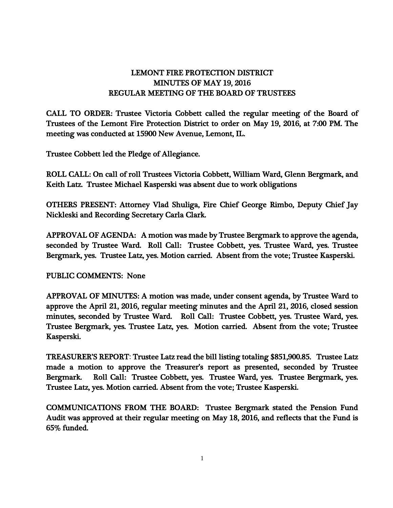## LEMONT FIRE PROTECTION DISTRICT MINUTES OF MAY 19, 2016 REGULAR MEETING OF THE BOARD OF TRUSTEES

CALL TO ORDER: Trustee Victoria Cobbett called the regular meeting of the Board of Trustees of the Lemont Fire Protection District to order on May 19, 2016, at 7:00 PM. The meeting was conducted at 15900 New Avenue, Lemont, IL.

Trustee Cobbett led the Pledge of Allegiance.

ROLL CALL: On call of roll Trustees Victoria Cobbett, William Ward, Glenn Bergmark, and Keith Latz. Trustee Michael Kasperski was absent due to work obligations

OTHERS PRESENT: Attorney Vlad Shuliga, Fire Chief George Rimbo, Deputy Chief Jay Nickleski and Recording Secretary Carla Clark.

APPROVAL OF AGENDA: A motion was made by Trustee Bergmark to approve the agenda, seconded by Trustee Ward. Roll Call: Trustee Cobbett, yes. Trustee Ward, yes. Trustee Bergmark, yes. Trustee Latz, yes. Motion carried. Absent from the vote; Trustee Kasperski.

PUBLIC COMMENTS: None

APPROVAL OF MINUTES: A motion was made, under consent agenda, by Trustee Ward to approve the April 21, 2016, regular meeting minutes and the April 21, 2016, closed session minutes, seconded by Trustee Ward. Roll Call: Trustee Cobbett, yes. Trustee Ward, yes. Trustee Bergmark, yes. Trustee Latz, yes. Motion carried. Absent from the vote; Trustee Kasperski.

TREASURER'S REPORT: Trustee Latz read the bill listing totaling \$851,900.85. Trustee Latz made a motion to approve the Treasurer's report as presented, seconded by Trustee Bergmark. Roll Call: Trustee Cobbett, yes. Trustee Ward, yes. Trustee Bergmark, yes. Trustee Latz, yes. Motion carried. Absent from the vote; Trustee Kasperski.

COMMUNICATIONS FROM THE BOARD: Trustee Bergmark stated the Pension Fund Audit was approved at their regular meeting on May 18, 2016, and reflects that the Fund is 65% funded.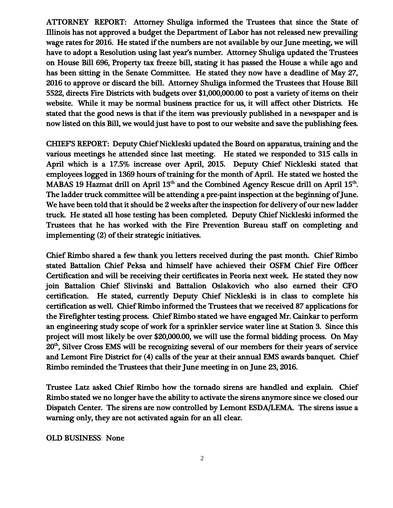ATTORNEY REPORT: Attorney Shuliga informed the Trustees that since the State of Illinois has not approved a budget the Department of Labor has not released new prevailing wage rates for 2016. He stated if the numbers are not available by our June meeting, we will have to adopt a Resolution using last year's number. Attorney Shuliga updated the Trustees on House Bill 696, Property tax freeze bill, stating it has passed the House a while ago and has been sitting in the Senate Committee. He stated they now have a deadline of May 27, 2016 to approve or discard the bill. Attorney Shuliga informed the Trustees that House Bill 5522, directs Fire Districts with budgets over \$1,000,000.00 to post a variety of items on their website. While it may be normal business practice for us, it will affect other Districts. He stated that the good news is that if the item was previously published in a newspaper and is now listed on this Bill, we would just have to post to our website and save the publishing fees.

CHIEF'S REPORT: Deputy Chief Nickleski updated the Board on apparatus, training and the various meetings he attended since last meeting. He stated we responded to 315 calls in April which is a 17.5% increase over April, 2015. Deputy Chief Nickleski stated that employees logged in 1369 hours of training for the month of April. He stated we hosted the MABAS 19 Hazmat drill on April  $13<sup>th</sup>$  and the Combined Agency Rescue drill on April  $15<sup>th</sup>$ . The ladder truck committee will be attending a pre-paint inspection at the beginning of June. We have been told that it should be 2 weeks after the inspection for delivery of our new ladder truck. He stated all hose testing has been completed. Deputy Chief Nickleski informed the Trustees that he has worked with the Fire Prevention Bureau staff on completing and implementing (2) of their strategic initiatives.

Chief Rimbo shared a few thank you letters received during the past month. Chief Rimbo stated Battalion Chief Peksa and himself have achieved their OSFM Chief Fire Officer Certification and will be receiving their certificates in Peoria next week. He stated they now join Battalion Chief Slivinski and Battalion Oslakovich who also earned their CFO certification. He stated, currently Deputy Chief Nickleski is in class to complete his certification as well. Chief Rimbo informed the Trustees that we received 87 applications for the Firefighter testing process. Chief Rimbo stated we have engaged Mr. Cainkar to perform an engineering study scope of work for a sprinkler service water line at Station 3. Since this project will most likely be over \$20,000.00, we will use the formal bidding process. On May 20th, Silver Cross EMS will be recognizing several of our members for their years of service and Lemont Fire District for (4) calls of the year at their annual EMS awards banquet. Chief Rimbo reminded the Trustees that their June meeting in on June 23, 2016.

Trustee Latz asked Chief Rimbo how the tornado sirens are handled and explain. Chief Rimbo stated we no longer have the ability to activate the sirens anymore since we closed our Dispatch Center. The sirens are now controlled by Lemont ESDA/LEMA. The sirens issue a warning only, they are not activated again for an all clear.

OLD BUSINESS: None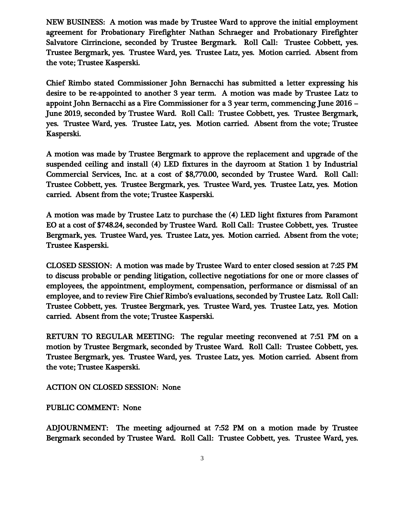NEW BUSINESS: A motion was made by Trustee Ward to approve the initial employment agreement for Probationary Firefighter Nathan Schraeger and Probationary Firefighter Salvatore Cirrincione, seconded by Trustee Bergmark. Roll Call: Trustee Cobbett, yes. Trustee Bergmark, yes. Trustee Ward, yes. Trustee Latz, yes. Motion carried. Absent from the vote; Trustee Kasperski.

Chief Rimbo stated Commissioner John Bernacchi has submitted a letter expressing his desire to be re-appointed to another 3 year term. A motion was made by Trustee Latz to appoint John Bernacchi as a Fire Commissioner for a 3 year term, commencing June 2016 – June 2019, seconded by Trustee Ward. Roll Call: Trustee Cobbett, yes. Trustee Bergmark, yes. Trustee Ward, yes. Trustee Latz, yes. Motion carried. Absent from the vote; Trustee Kasperski.

A motion was made by Trustee Bergmark to approve the replacement and upgrade of the suspended ceiling and install (4) LED fixtures in the dayroom at Station 1 by Industrial Commercial Services, Inc. at a cost of \$8,770.00, seconded by Trustee Ward. Roll Call: Trustee Cobbett, yes. Trustee Bergmark, yes. Trustee Ward, yes. Trustee Latz, yes. Motion carried. Absent from the vote; Trustee Kasperski.

A motion was made by Trustee Latz to purchase the (4) LED light fixtures from Paramont EO at a cost of \$748.24, seconded by Trustee Ward. Roll Call: Trustee Cobbett, yes. Trustee Bergmark, yes. Trustee Ward, yes. Trustee Latz, yes. Motion carried. Absent from the vote; Trustee Kasperski.

CLOSED SESSION: A motion was made by Trustee Ward to enter closed session at 7:25 PM to discuss probable or pending litigation, collective negotiations for one or more classes of employees, the appointment, employment, compensation, performance or dismissal of an employee, and to review Fire Chief Rimbo's evaluations, seconded by Trustee Latz. Roll Call: Trustee Cobbett, yes. Trustee Bergmark, yes. Trustee Ward, yes. Trustee Latz, yes. Motion carried. Absent from the vote; Trustee Kasperski.

RETURN TO REGULAR MEETING: The regular meeting reconvened at 7:51 PM on a motion by Trustee Bergmark, seconded by Trustee Ward. Roll Call: Trustee Cobbett, yes. Trustee Bergmark, yes. Trustee Ward, yes. Trustee Latz, yes. Motion carried. Absent from the vote; Trustee Kasperski.

ACTION ON CLOSED SESSION: None

PUBLIC COMMENT: None

ADJOURNMENT: The meeting adjourned at 7:52 PM on a motion made by Trustee Bergmark seconded by Trustee Ward. Roll Call: Trustee Cobbett, yes. Trustee Ward, yes.